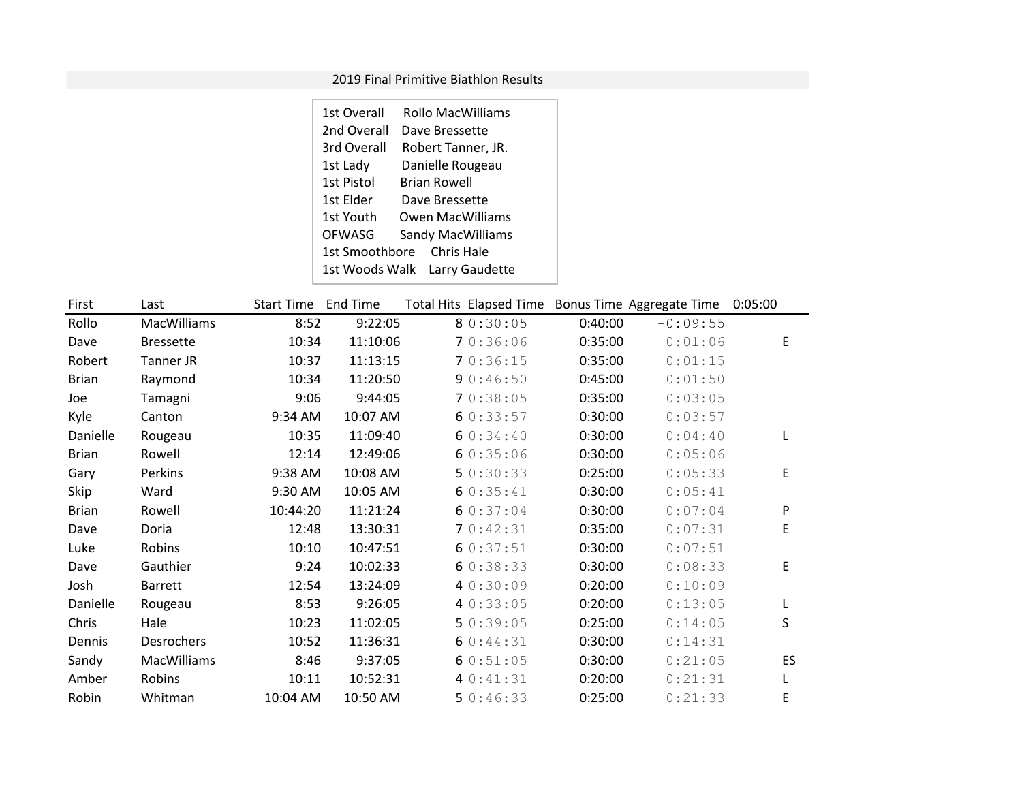## 2019 Final Primitive Biathlon Results

| 1st Overall    | <b>Rollo MacWilliams</b>      |  |
|----------------|-------------------------------|--|
| 2nd Overall    | Dave Bressette                |  |
| 3rd Overall    | Robert Tanner, JR.            |  |
| 1st Lady       | Danielle Rougeau              |  |
| 1st Pistol     | <b>Brian Rowell</b>           |  |
| 1st Elder      | Dave Bressette                |  |
| 1st Youth      | Owen MacWilliams              |  |
| OFWASG         | <b>Sandy MacWilliams</b>      |  |
| 1st Smoothbore | Chris Hale                    |  |
|                | 1st Woods Walk Larry Gaudette |  |

| First        | Last               | <b>Start Time</b> | <b>End Time</b> | Total Hits Elapsed Time Bonus Time Aggregate Time |         |            | 0:05:00 |
|--------------|--------------------|-------------------|-----------------|---------------------------------------------------|---------|------------|---------|
| Rollo        | <b>MacWilliams</b> | 8:52              | 9:22:05         | 8 0:30:05                                         | 0:40:00 | $-0:09:55$ |         |
| Dave         | <b>Bressette</b>   | 10:34             | 11:10:06        | 70:36:06                                          | 0:35:00 | 0:01:06    | E       |
| Robert       | Tanner JR          | 10:37             | 11:13:15        | 70:36:15                                          | 0:35:00 | 0:01:15    |         |
| <b>Brian</b> | Raymond            | 10:34             | 11:20:50        | 90:46:50                                          | 0:45:00 | 0:01:50    |         |
| Joe          | Tamagni            | 9:06              | 9:44:05         | 70:38:05                                          | 0:35:00 | 0:03:05    |         |
| Kyle         | Canton             | 9:34 AM           | 10:07 AM        | 60:33:57                                          | 0:30:00 | 0:03:57    |         |
| Danielle     | Rougeau            | 10:35             | 11:09:40        | 60:34:40                                          | 0:30:00 | 0:04:40    | L       |
| <b>Brian</b> | Rowell             | 12:14             | 12:49:06        | 60:35:06                                          | 0:30:00 | 0:05:06    |         |
| Gary         | Perkins            | 9:38 AM           | 10:08 AM        | 50:30:33                                          | 0:25:00 | 0:05:33    | E       |
| Skip         | Ward               | 9:30 AM           | 10:05 AM        | 60:35:41                                          | 0:30:00 | 0:05:41    |         |
| <b>Brian</b> | Rowell             | 10:44:20          | 11:21:24        | 60:37:04                                          | 0:30:00 | 0:07:04    | P       |
| Dave         | Doria              | 12:48             | 13:30:31        | 70:42:31                                          | 0:35:00 | 0:07:31    | E       |
| Luke         | Robins             | 10:10             | 10:47:51        | 60:37:51                                          | 0:30:00 | 0:07:51    |         |
| Dave         | Gauthier           | 9:24              | 10:02:33        | 60:38:33                                          | 0:30:00 | 0:08:33    | E       |
| Josh         | <b>Barrett</b>     | 12:54             | 13:24:09        | 4 0:30:09                                         | 0:20:00 | 0:10:09    |         |
| Danielle     | Rougeau            | 8:53              | 9:26:05         | 40:33:05                                          | 0:20:00 | 0:13:05    |         |
| Chris        | Hale               | 10:23             | 11:02:05        | 50:39:05                                          | 0:25:00 | 0:14:05    | S       |
| Dennis       | Desrochers         | 10:52             | 11:36:31        | 60:44:31                                          | 0:30:00 | 0:14:31    |         |
| Sandy        | <b>MacWilliams</b> | 8:46              | 9:37:05         | 60:51:05                                          | 0:30:00 | 0:21:05    | ES      |
| Amber        | Robins             | 10:11             | 10:52:31        | 40:31:31                                          | 0:20:00 | 0:21:31    | L       |
| Robin        | Whitman            | 10:04 AM          | 10:50 AM        | 50:46:33                                          | 0:25:00 | 0:21:33    | E       |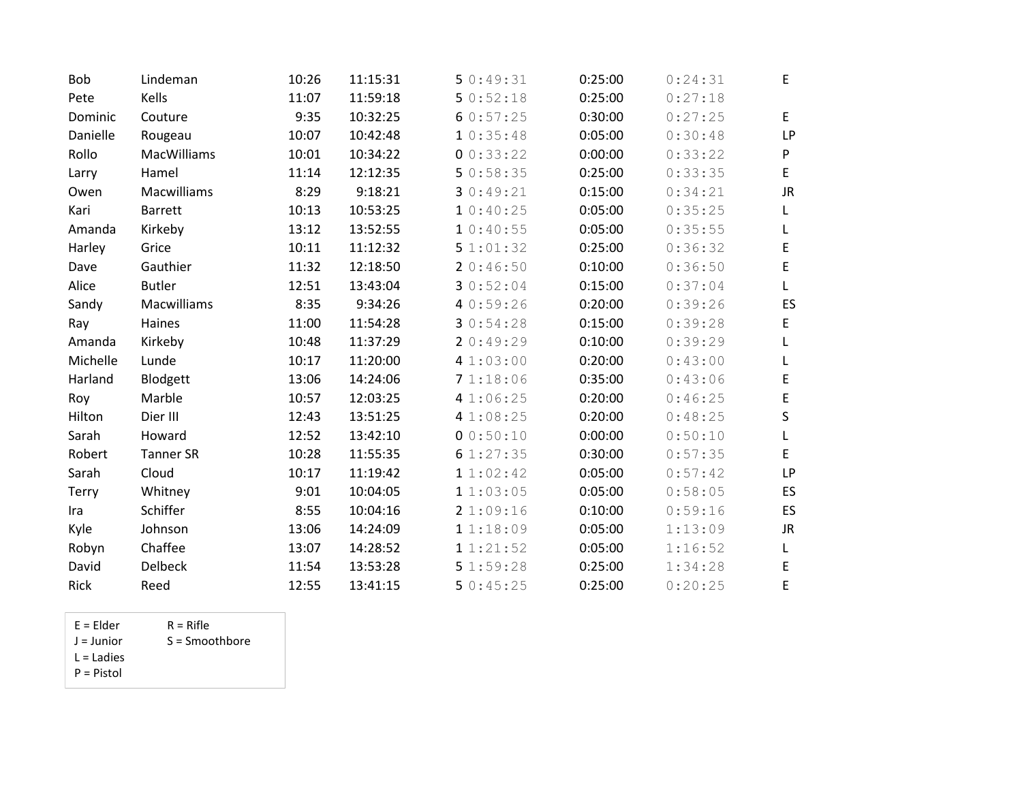| Bob      | Lindeman         | 10:26 | 11:15:31 | 50:49:31  | 0:25:00 | 0:24:31 | E           |
|----------|------------------|-------|----------|-----------|---------|---------|-------------|
| Pete     | Kells            | 11:07 | 11:59:18 | 50:52:18  | 0:25:00 | 0:27:18 |             |
| Dominic  | Couture          | 9:35  | 10:32:25 | 60:57:25  | 0:30:00 | 0:27:25 | $\mathsf E$ |
| Danielle | Rougeau          | 10:07 | 10:42:48 | 10:35:48  | 0:05:00 | 0:30:48 | <b>LP</b>   |
| Rollo    | MacWilliams      | 10:01 | 10:34:22 | 00:33:22  | 0:00:00 | 0:33:22 | ${\sf P}$   |
| Larry    | Hamel            | 11:14 | 12:12:35 | 50:58:35  | 0:25:00 | 0:33:35 | $\mathsf E$ |
| Owen     | Macwilliams      | 8:29  | 9:18:21  | 30:49:21  | 0:15:00 | 0:34:21 | <b>JR</b>   |
| Kari     | <b>Barrett</b>   | 10:13 | 10:53:25 | 10:30:25  | 0:05:00 | 0:35:25 | L           |
| Amanda   | Kirkeby          | 13:12 | 13:52:55 | 10:30:55  | 0:05:00 | 0:35:55 | L           |
| Harley   | Grice            | 10:11 | 11:12:32 | 51:01:32  | 0:25:00 | 0:36:32 | $\mathsf E$ |
| Dave     | Gauthier         | 11:32 | 12:18:50 | 20:46:50  | 0:10:00 | 0:36:50 | $\mathsf E$ |
| Alice    | <b>Butler</b>    | 12:51 | 13:43:04 | 30:52:04  | 0:15:00 | 0:37:04 | L           |
| Sandy    | Macwilliams      | 8:35  | 9:34:26  | 4 0:59:26 | 0:20:00 | 0:39:26 | ES          |
| Ray      | Haines           | 11:00 | 11:54:28 | 30:54:28  | 0:15:00 | 0:39:28 | $\mathsf E$ |
| Amanda   | Kirkeby          | 10:48 | 11:37:29 | 20:49:29  | 0:10:00 | 0:39:29 | Г           |
| Michelle | Lunde            | 10:17 | 11:20:00 | 41:03:00  | 0:20:00 | 0:43:00 | L           |
| Harland  | Blodgett         | 13:06 | 14:24:06 | 71:18:06  | 0:35:00 | 0:43:06 | Е           |
| Roy      | Marble           | 10:57 | 12:03:25 | 4 1:06:25 | 0:20:00 | 0:46:25 | $\mathsf E$ |
| Hilton   | Dier III         | 12:43 | 13:51:25 | 4 1:08:25 | 0:20:00 | 0:48:25 | S           |
| Sarah    | Howard           | 12:52 | 13:42:10 | 00:50:10  | 0:00:00 | 0:50:10 | L           |
| Robert   | <b>Tanner SR</b> | 10:28 | 11:55:35 | 6 1:27:35 | 0:30:00 | 0:57:35 | $\mathsf E$ |
| Sarah    | Cloud            | 10:17 | 11:19:42 | 11:02:42  | 0:05:00 | 0:57:42 | <b>LP</b>   |
| Terry    | Whitney          | 9:01  | 10:04:05 | 11:03:05  | 0:05:00 | 0:58:05 | ES          |
| Ira      | Schiffer         | 8:55  | 10:04:16 | 21:09:16  | 0:10:00 | 0:59:16 | ES          |
| Kyle     | Johnson          | 13:06 | 14:24:09 | 11:18:09  | 0:05:00 | 1:13:09 | JR          |
| Robyn    | Chaffee          | 13:07 | 14:28:52 | 11:21:52  | 0:05:00 | 1:16:52 | L           |
| David    | <b>Delbeck</b>   | 11:54 | 13:53:28 | 51:59:28  | 0:25:00 | 1:34:28 | E           |
| Rick     | Reed             | 12:55 | 13:41:15 | 50:45:25  | 0:25:00 | 0:20:25 | E           |

- $E =$  Elder  $R =$  Rifle<br>  $J =$  Junior  $S =$  Smoc
- S = Smoothbore
- L = Ladies
- P = Pistol